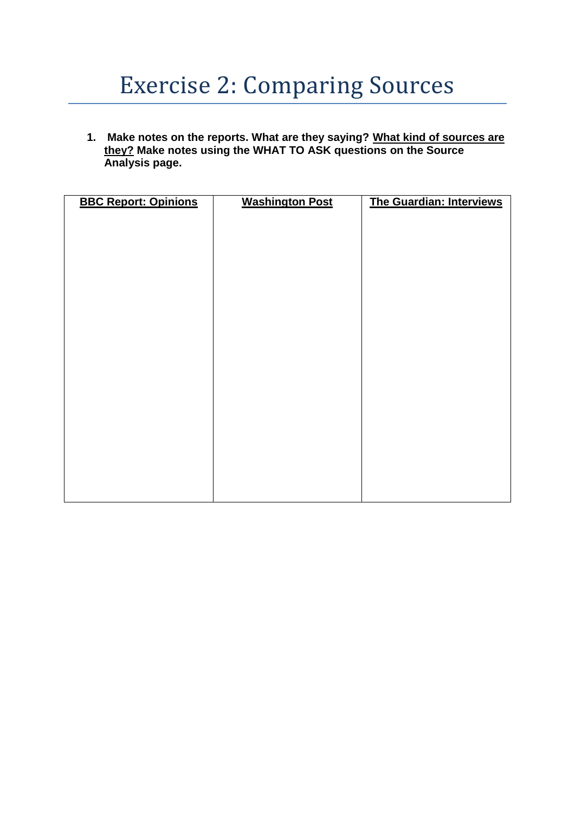## Exercise 2: Comparing Sources

**1. Make notes on the reports. What are they saying? What kind of sources are they? Make notes using the WHAT TO ASK questions on the Source Analysis page.**

| <b>BBC Report: Opinions</b> | <b>Washington Post</b> | The Guardian: Interviews |
|-----------------------------|------------------------|--------------------------|
|                             |                        |                          |
|                             |                        |                          |
|                             |                        |                          |
|                             |                        |                          |
|                             |                        |                          |
|                             |                        |                          |
|                             |                        |                          |
|                             |                        |                          |
|                             |                        |                          |
|                             |                        |                          |
|                             |                        |                          |
|                             |                        |                          |
|                             |                        |                          |
|                             |                        |                          |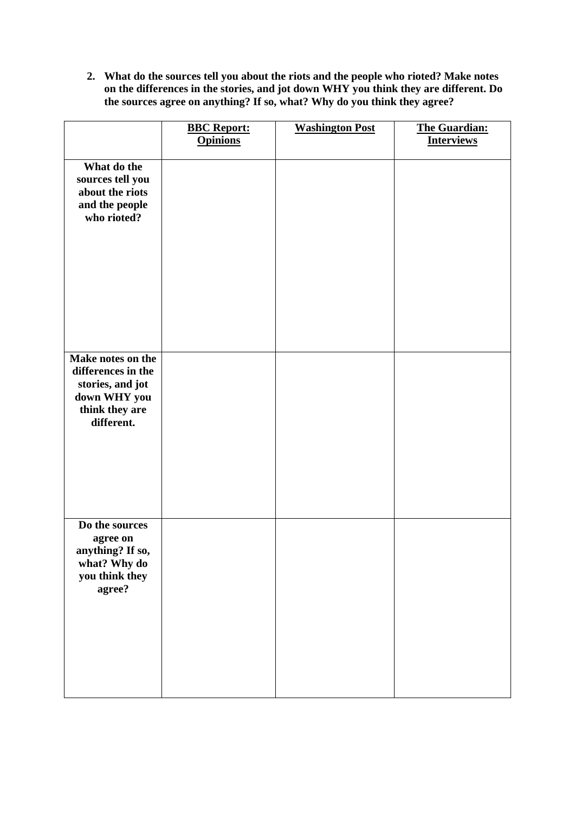**2. What do the sources tell you about the riots and the people who rioted? Make notes on the differences in the stories, and jot down WHY you think they are different. Do the sources agree on anything? If so, what? Why do you think they agree?**

|                                                                                                             | <b>BBC Report:</b><br><b>Opinions</b> | <b>Washington Post</b> | <b>The Guardian:</b><br><b>Interviews</b> |
|-------------------------------------------------------------------------------------------------------------|---------------------------------------|------------------------|-------------------------------------------|
| What do the<br>sources tell you<br>about the riots<br>and the people<br>who rioted?                         |                                       |                        |                                           |
| Make notes on the<br>differences in the<br>stories, and jot<br>down WHY you<br>think they are<br>different. |                                       |                        |                                           |
| Do the sources<br>agree on<br>anything? If so,<br>what? Why do<br>you think they<br>agree?                  |                                       |                        |                                           |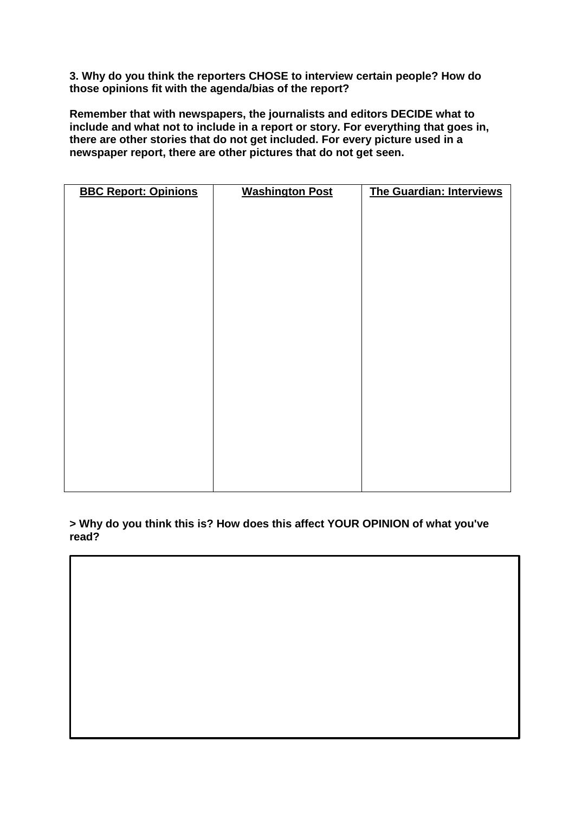**3. Why do you think the reporters CHOSE to interview certain people? How do those opinions fit with the agenda/bias of the report?**

**Remember that with newspapers, the journalists and editors DECIDE what to include and what not to include in a report or story. For everything that goes in, there are other stories that do not get included. For every picture used in a newspaper report, there are other pictures that do not get seen.** 

| <b>BBC Report: Opinions</b> | <b>Washington Post</b> | The Guardian: Interviews |
|-----------------------------|------------------------|--------------------------|
|                             |                        |                          |
|                             |                        |                          |
|                             |                        |                          |
|                             |                        |                          |
|                             |                        |                          |
|                             |                        |                          |
|                             |                        |                          |
|                             |                        |                          |
|                             |                        |                          |
|                             |                        |                          |
|                             |                        |                          |
|                             |                        |                          |
|                             |                        |                          |
|                             |                        |                          |
|                             |                        |                          |
|                             |                        |                          |
|                             |                        |                          |
|                             |                        |                          |

**> Why do you think this is? How does this affect YOUR OPINION of what you've read?**